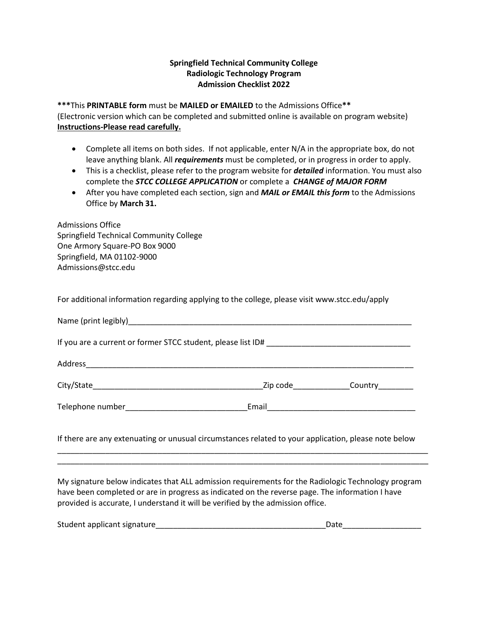## **Springfield Technical Community College Radiologic Technology Program Admission Checklist 2022**

**\*\*\***This **PRINTABLE form** must be **MAILED or EMAILED** to the Admissions Office**\*\***  (Electronic version which can be completed and submitted online is available on program website) **Instructions-Please read carefully.**

- Complete all items on both sides. If not applicable, enter N/A in the appropriate box, do not leave anything blank. All *requirements* must be completed, or in progress in order to apply.
- This is a checklist, please refer to the program website for *detailed* information. You must also complete the *STCC COLLEGE APPLICATION* or complete a *CHANGE of MAJOR FORM*
- After you have completed each section, sign and *MAIL or EMAIL this form* to the Admissions Office by **March 31.**

| <b>Admissions Office</b><br>Springfield Technical Community College<br>One Armory Square-PO Box 9000<br>Springfield, MA 01102-9000<br>Admissions@stcc.edu |  |  |  |  |  |
|-----------------------------------------------------------------------------------------------------------------------------------------------------------|--|--|--|--|--|
| For additional information regarding applying to the college, please visit www.stcc.edu/apply                                                             |  |  |  |  |  |
|                                                                                                                                                           |  |  |  |  |  |
|                                                                                                                                                           |  |  |  |  |  |
|                                                                                                                                                           |  |  |  |  |  |
|                                                                                                                                                           |  |  |  |  |  |
|                                                                                                                                                           |  |  |  |  |  |
| If there are any extenuating or unusual circumstances related to your application, please note below                                                      |  |  |  |  |  |

My signature below indicates that ALL admission requirements for the Radiologic Technology program have been completed or are in progress as indicated on the reverse page. The information I have provided is accurate, I understand it will be verified by the admission office.

\_\_\_\_\_\_\_\_\_\_\_\_\_\_\_\_\_\_\_\_\_\_\_\_\_\_\_\_\_\_\_\_\_\_\_\_\_\_\_\_\_\_\_\_\_\_\_\_\_\_\_\_\_\_\_\_\_\_\_\_\_\_\_\_\_\_\_\_\_\_\_\_\_\_\_\_\_\_\_\_\_\_\_\_\_

| Student applicant signature |  |
|-----------------------------|--|
|                             |  |